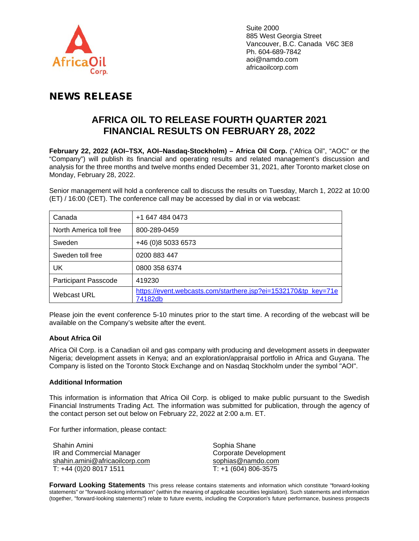

## NEWS RELEASE

## **AFRICA OIL TO RELEASE FOURTH QUARTER 2021 FINANCIAL RESULTS ON FEBRUARY 28, 2022**

**February 22, 2022 (AOI–TSX, AOI–Nasdaq-Stockholm) – Africa Oil Corp.** ("Africa Oil", "AOC" or the "Company") will publish its financial and operating results and related management's discussion and analysis for the three months and twelve months ended December 31, 2021, after Toronto market close on Monday, February 28, 2022.

Senior management will hold a conference call to discuss the results on Tuesday, March 1, 2022 at 10:00 (ET) / 16:00 (CET). The conference call may be accessed by dial in or via webcast:

| Canada                      | +1 647 484 0473                                                           |
|-----------------------------|---------------------------------------------------------------------------|
| North America toll free     | 800-289-0459                                                              |
| Sweden                      | +46 (0)8 5033 6573                                                        |
| Sweden toll free            | 0200 883 447                                                              |
| UK                          | 0800 358 6374                                                             |
| <b>Participant Passcode</b> | 419230                                                                    |
| <b>Webcast URL</b>          | https://event.webcasts.com/starthere.jsp?ei=1532170&tp_key=71e<br>74182db |

Please join the event conference 5-10 minutes prior to the start time. A recording of the webcast will be available on the Company's website after the event.

## **About Africa Oil**

Africa Oil Corp. is a Canadian oil and gas company with producing and development assets in deepwater Nigeria; development assets in Kenya; and an exploration/appraisal portfolio in Africa and Guyana. The Company is listed on the Toronto Stock Exchange and on Nasdaq Stockholm under the symbol "AOI".

## **Additional Information**

This information is information that Africa Oil Corp. is obliged to make public pursuant to the Swedish Financial Instruments Trading Act. The information was submitted for publication, through the agency of the contact person set out below on February 22, 2022 at 2:00 a.m. ET.

For further information, please contact:

Shahin Amini IR and Commercial Manager [shahin.amini@africaoilcorp.com](mailto:shahin.amini@africaoilcorp.com) T: +44 (0)20 8017 1511

Sophia Shane Corporate Development [sophias@namdo.com](mailto:sophias@namdo.com) T: +1 (604) 806-3575

**Forward Looking Statements** This press release contains statements and information which constitute "forward-looking statements" or "forward-looking information" (within the meaning of applicable securities legislation). Such statements and information (together, "forward-looking statements") relate to future events, including the Corporation's future performance, business prospects